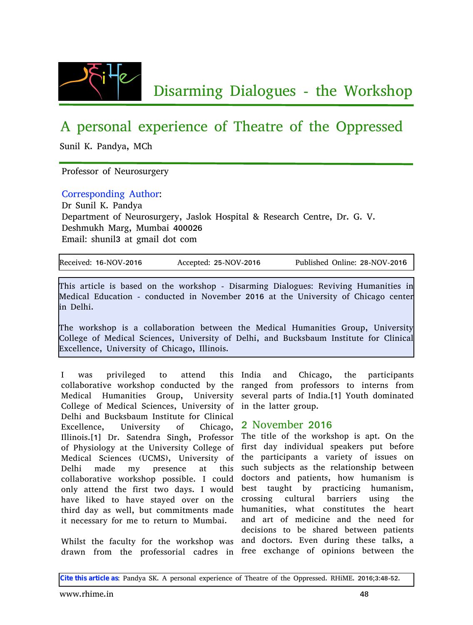

# A personal experience of Theatre of the Oppressed

Sunil K. Pandya, MCh

Professor of Neurosurgery

#### Corresponding Author:

Dr Sunil K. Pandya Department of Neurosurgery, Jaslok Hospital & Research Centre, Dr. G. V. Deshmukh Marg, Mumbai 400026 Email: shunil3 at gmail dot com

| Received: 16-NOV-2016 | Accepted: 25-NOV-2016 | Published Online: 28-NOV-2016 |
|-----------------------|-----------------------|-------------------------------|
|                       |                       |                               |

This article is based on the workshop - Disarming Dialogues: Reviving Humanities in Medical Education - conducted in November 2016 at the University of Chicago center in Delhi.

The workshop is a collaboration between the Medical Humanities Group, University College of Medical Sciences, University of Delhi, and Bucksbaum Institute for Clinical Excellence, University of Chicago, Illinois.

I was privileged to attend collaborative workshop conducted by the ranged from professors to interns from Medical Humanities Group, University College of Medical Sciences, University of in the latter group. Delhi and Bucksbaum Institute for Clinical Excellence, University of Chicago, Illinois.[1] Dr. Satendra Singh, Professor of Physiology at the University College of Medical Sciences (UCMS), University of Delhi made my presence at this collaborative workshop possible. I could only attend the first two days. I would have liked to have stayed over on the third day as well, but commitments made it necessary for me to return to Mumbai.

Whilst the faculty for the workshop was drawn from the professorial cadres in

India and Chicago, the participants several parts of India.[1] Youth dominated

### 2 November 2016

The title of the workshop is apt. On the first day individual speakers put before the participants a variety of issues on such subjects as the relationship between doctors and patients, how humanism is best taught by practicing humanism, crossing cultural barriers using the humanities, what constitutes the heart and art of medicine and the need for decisions to be shared between patients and doctors. Even during these talks, a free exchange of opinions between the

**Cite this article as**: Pandya SK. A personal experience of Theatre of the Oppressed. RHiME. 2016;3:48-52.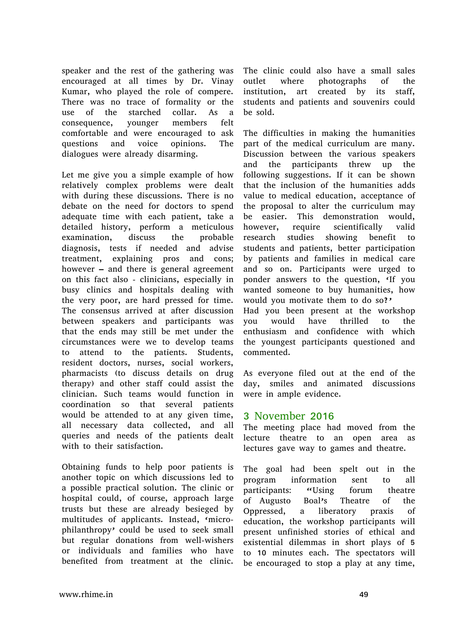speaker and the rest of the gathering was encouraged at all times by Dr. Vinay Kumar, who played the role of compere. There was no trace of formality or the use of the starched collar. As a consequence, younger members felt comfortable and were encouraged to ask questions and voice opinions. The dialogues were already disarming.

Let me give you a simple example of how relatively complex problems were dealt with during these discussions. There is no debate on the need for doctors to spend adequate time with each patient, take a detailed history, perform a meticulous examination, discuss the probable diagnosis, tests if needed and advise treatment, explaining pros and cons; however – and there is general agreement on this fact also - clinicians, especially in busy clinics and hospitals dealing with the very poor, are hard pressed for time. The consensus arrived at after discussion between speakers and participants was that the ends may still be met under the circumstances were we to develop teams to attend to the patients. Students, resident doctors, nurses, social workers, pharmacists (to discuss details on drug therapy) and other staff could assist the clinician. Such teams would function in coordination so that several patients would be attended to at any given time, all necessary data collected, and all queries and needs of the patients dealt with to their satisfaction.

Obtaining funds to help poor patients is another topic on which discussions led to a possible practical solution. The clinic or hospital could, of course, approach large trusts but these are already besieged by multitudes of applicants. Instead, 'microphilanthropy' could be used to seek small but regular donations from well-wishers or individuals and families who have benefited from treatment at the clinic.

The clinic could also have a small sales outlet where photographs of the institution, art created by its staff, students and patients and souvenirs could be sold.

The difficulties in making the humanities part of the medical curriculum are many. Discussion between the various speakers and the participants threw up the following suggestions. If it can be shown that the inclusion of the humanities adds value to medical education, acceptance of the proposal to alter the curriculum may be easier. This demonstration would, however, require scientifically valid research studies showing benefit to students and patients, better participation by patients and families in medical care and so on. Participants were urged to ponder answers to the question, 'If you wanted someone to buy humanities, how would you motivate them to do so?' Had you been present at the workshop you would have thrilled to the enthusiasm and confidence with which the youngest participants questioned and commented.

As everyone filed out at the end of the day, smiles and animated discussions were in ample evidence.

### 3 November 2016

The meeting place had moved from the lecture theatre to an open area as lectures gave way to games and theatre.

The goal had been spelt out in the program information sent to all participants: "Using forum theatre of Augusto Boal's Theatre of the Oppressed, a liberatory praxis of education, the workshop participants will present unfinished stories of ethical and existential dilemmas in short plays of 5 to 10 minutes each. The spectators will be encouraged to stop a play at any time,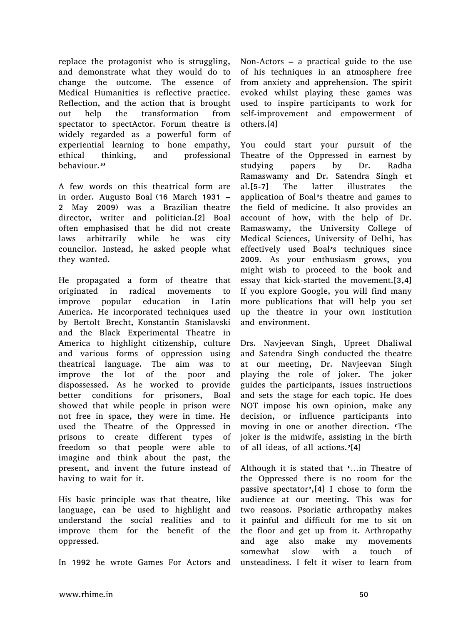replace the protagonist who is struggling, and demonstrate what they would do to change the outcome. The essence of Medical Humanities is reflective practice. Reflection, and the action that is brought out help the transformation from spectator to spectActor. Forum theatre is widely regarded as a powerful form of experiential learning to hone empathy, ethical thinking, and professional behaviour."

A few words on this theatrical form are in order. Augusto Boal (16 March 1931 – 2 May 2009) was a Brazilian theatre director, writer and politician.[2] Boal often emphasised that he did not create laws arbitrarily while he was city councilor. Instead, he asked people what they wanted.

He propagated a form of theatre that originated in radical movements to improve popular education in Latin America. He incorporated techniques used by Bertolt Brecht, Konstantin Stanislavski and the Black Experimental Theatre in America to highlight citizenship, culture and various forms of oppression using theatrical language. The aim was to improve the lot of the poor and dispossessed. As he worked to provide better conditions for prisoners, Boal showed that while people in prison were not free in space, they were in time. He used the Theatre of the Oppressed in prisons to create different types of freedom so that people were able to imagine and think about the past, the present, and invent the future instead of having to wait for it.

His basic principle was that theatre, like language, can be used to highlight and understand the social realities and to improve them for the benefit of the oppressed.

In 1992 he wrote Games For Actors and

Non-Actors – a practical guide to the use of his techniques in an atmosphere free from anxiety and apprehension. The spirit evoked whilst playing these games was used to inspire participants to work for self-improvement and empowerment of others.[4]

You could start your pursuit of the Theatre of the Oppressed in earnest by studying papers by Dr. Radha Ramaswamy and Dr. Satendra Singh et al.[5-7] The latter illustrates the application of Boal's theatre and games to the field of medicine. It also provides an account of how, with the help of Dr. Ramaswamy, the University College of Medical Sciences, University of Delhi, has effectively used Boal's techniques since 2009. As your enthusiasm grows, you might wish to proceed to the book and essay that kick-started the movement.[3,4] If you explore Google, you will find many more publications that will help you set up the theatre in your own institution and environment.

Drs. Navjeevan Singh, Upreet Dhaliwal and Satendra Singh conducted the theatre at our meeting, Dr. Navjeevan Singh playing the role of joker. The joker guides the participants, issues instructions and sets the stage for each topic. He does NOT impose his own opinion, make any decision, or influence participants into moving in one or another direction. 'The joker is the midwife, assisting in the birth of all ideas, of all actions.'[4]

Although it is stated that '…in Theatre of the Oppressed there is no room for the passive spectator',[4] I chose to form the audience at our meeting. This was for two reasons. Psoriatic arthropathy makes it painful and difficult for me to sit on the floor and get up from it. Arthropathy and age also make my movements somewhat slow with a touch of unsteadiness. I felt it wiser to learn from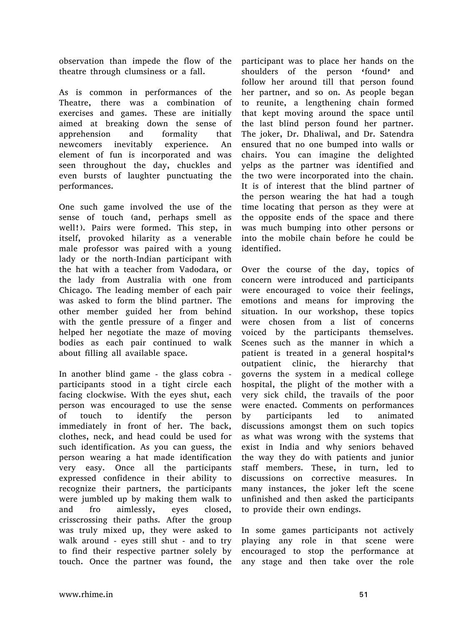observation than impede the flow of the theatre through clumsiness or a fall.

As is common in performances of the Theatre, there was a combination of exercises and games. These are initially aimed at breaking down the sense of apprehension and formality that newcomers inevitably experience. An element of fun is incorporated and was seen throughout the day, chuckles and even bursts of laughter punctuating the performances.

One such game involved the use of the sense of touch (and, perhaps smell as well!). Pairs were formed. This step, in itself, provoked hilarity as a venerable male professor was paired with a young lady or the north-Indian participant with the hat with a teacher from Vadodara, or the lady from Australia with one from Chicago. The leading member of each pair was asked to form the blind partner. The other member guided her from behind with the gentle pressure of a finger and helped her negotiate the maze of moving bodies as each pair continued to walk about filling all available space.

In another blind game - the glass cobra participants stood in a tight circle each facing clockwise. With the eyes shut, each person was encouraged to use the sense of touch to identify the person immediately in front of her. The back, clothes, neck, and head could be used for such identification. As you can guess, the person wearing a hat made identification very easy. Once all the participants expressed confidence in their ability to recognize their partners, the participants were jumbled up by making them walk to and fro aimlessly, eyes closed, crisscrossing their paths. After the group was truly mixed up, they were asked to walk around - eyes still shut - and to try to find their respective partner solely by touch. Once the partner was found, the

participant was to place her hands on the shoulders of the person 'found' and follow her around till that person found her partner, and so on. As people began to reunite, a lengthening chain formed that kept moving around the space until the last blind person found her partner. The joker, Dr. Dhaliwal, and Dr. Satendra ensured that no one bumped into walls or chairs. You can imagine the delighted yelps as the partner was identified and the two were incorporated into the chain. It is of interest that the blind partner of the person wearing the hat had a tough time locating that person as they were at the opposite ends of the space and there was much bumping into other persons or into the mobile chain before he could be identified.

Over the course of the day, topics of concern were introduced and participants were encouraged to voice their feelings, emotions and means for improving the situation. In our workshop, these topics were chosen from a list of concerns voiced by the participants themselves. Scenes such as the manner in which a patient is treated in a general hospital's outpatient clinic, the hierarchy that governs the system in a medical college hospital, the plight of the mother with a very sick child, the travails of the poor were enacted. Comments on performances by participants led to animated discussions amongst them on such topics as what was wrong with the systems that exist in India and why seniors behaved the way they do with patients and junior staff members. These, in turn, led to discussions on corrective measures. In many instances, the joker left the scene unfinished and then asked the participants to provide their own endings.

In some games participants not actively playing any role in that scene were encouraged to stop the performance at any stage and then take over the role